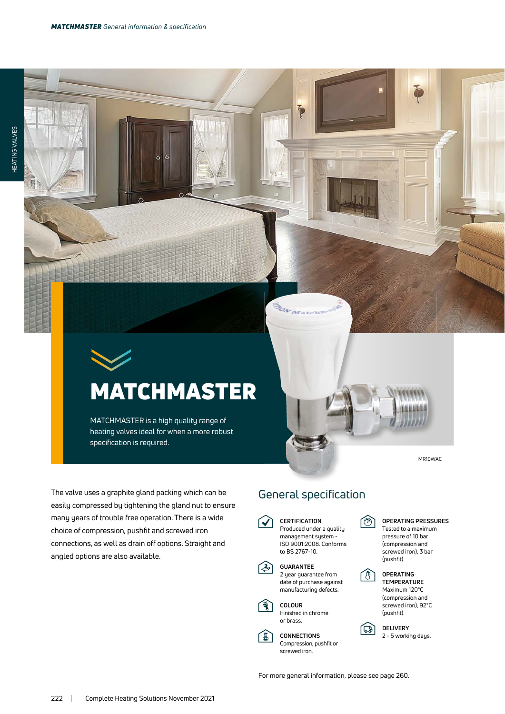## **MATCHMASTER**

MATCHMASTER is a high quality range of heating valves ideal for when a more robust specification is required.

MR10WAC

The valve uses a graphite gland packing which can be easily compressed by tightening the gland nut to ensure many years of trouble free operation. There is a wide choice of compression, pushfit and screwed iron connections, as well as drain off options. Straight and angled options are also available.

## General specification

 $\overline{\phi}$ 

**BON B** 

**CERTIFICATION**  $\blacktriangledown$ Produced under a quality



**GUARANTEE** 2 year guarantee from date of purchase against manufacturing defects.



1

**CONNECTIONS** Compression, pushfit or screwed iron.

ি

岡



Maximum 120°C (compression and screwed iron), 92°C (pushfit).

**DELIVERY** 2 - 5 working days.

For more general information, please see page 260.